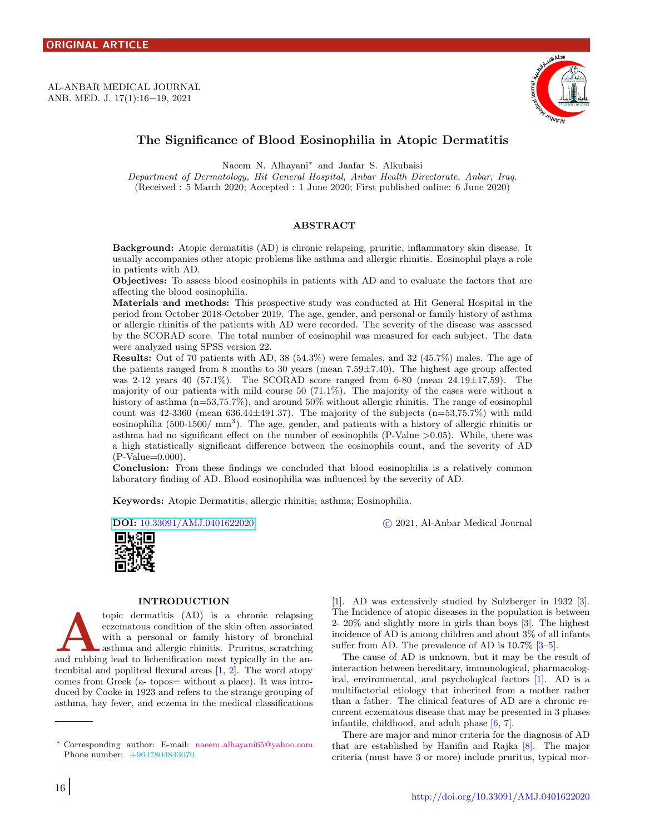<span id="page-0-1"></span>AL-ANBAR MEDICAL JOURNAL ANB. MED. J. 17(1):16−19, 2021



# The Significance of Blood Eosinophilia in Atopic Dermatitis

Naeem N. Alhayani[∗](#page-0-0) and Jaafar S. Alkubaisi

Department of Dermatology, Hit General Hospital, Anbar Health Directorate, Anbar, Iraq. (Received : 5 March 2020; Accepted : 1 June 2020; First published online: 6 June 2020)

## ABSTRACT

Background: Atopic dermatitis (AD) is chronic relapsing, pruritic, inflammatory skin disease. It usually accompanies other atopic problems like asthma and allergic rhinitis. Eosinophil plays a role in patients with AD.

Objectives: To assess blood eosinophils in patients with AD and to evaluate the factors that are affecting the blood eosinophilia.

Materials and methods: This prospective study was conducted at Hit General Hospital in the period from October 2018-October 2019. The age, gender, and personal or family history of asthma or allergic rhinitis of the patients with AD were recorded. The severity of the disease was assessed by the SCORAD score. The total number of eosinophil was measured for each subject. The data were analyzed using SPSS version 22.

Results: Out of 70 patients with AD, 38 (54.3%) were females, and 32 (45.7%) males. The age of the patients ranged from 8 months to 30 years (mean 7.59±7.40). The highest age group affected was 2-12 years 40 (57.1%). The SCORAD score ranged from 6-80 (mean  $24.19 \pm 17.59$ ). The majority of our patients with mild course 50 (71.1%). The majority of the cases were without a history of asthma  $(n=53,75.7\%)$ , and around 50% without allergic rhinitis. The range of eosinophil count was  $42-3360$  (mean  $636.44\pm491.37$ ). The majority of the subjects  $(n=53,75.7%)$  with mild eosinophilia  $(500-1500/\text{mm}^3)$ . The age, gender, and patients with a history of allergic rhinitis or asthma had no significant effect on the number of eosinophils (P-Value  $>0.05$ ). While, there was a high statistically significant difference between the eosinophils count, and the severity of AD  $(P-Value=0.000)$ .

Conclusion: From these findings we concluded that blood eosinophilia is a relatively common laboratory finding of AD. Blood eosinophilia was influenced by the severity of AD.

Keywords: Atopic Dermatitis; allergic rhinitis; asthma; Eosinophilia.

DOI: [10.33091/AMJ.0401622020](http://dx.doi.org/10.33091/AMJ.0401622020) c 2021, Al-Anbar Medical Journal



#### INTRODUCTION

topic dermatitis (AD) is a chronic relapsing<br>eczematous condition of the skin often associated<br>with a personal or family history of bronchial<br>asthma and allergic rhinitis. Pruritus, scratching<br>and rubbing lead to lichenifi topic dermatitis (AD) is a chronic relapsing eczematous condition of the skin often associated with a personal or family history of bronchial asthma and allergic rhinitis. Pruritus, scratching tecubital and popliteal flexural areas  $[1, 2]$  $[1, 2]$  $[1, 2]$ . The word atopy comes from Greek (a- topos= without a place). It was introduced by Cooke in 1923 and refers to the strange grouping of asthma, hay fever, and eczema in the medical classifications [\[1\]](#page-3-0). AD was extensively studied by Sulzberger in 1932 [\[3\]](#page-3-2). The Incidence of atopic diseases in the population is between 2- 20% and slightly more in girls than boys [\[3\]](#page-3-2). The highest incidence of AD is among children and about 3% of all infants suffer from AD. The prevalence of AD is  $10.7\%$  [ $3-5$ ].

The cause of AD is unknown, but it may be the result of interaction between hereditary, immunological, pharmacological, environmental, and psychological factors [\[1\]](#page-3-0). AD is a multifactorial etiology that inherited from a mother rather than a father. The clinical features of AD are a chronic recurrent eczematous disease that may be presented in 3 phases infantile, childhood, and adult phase [\[6,](#page-3-4) [7\]](#page-3-5).

There are major and minor criteria for the diagnosis of AD that are established by Hanifin and Rajka [\[8\]](#page-3-6). The major criteria (must have 3 or more) include pruritus, typical mor-

<span id="page-0-0"></span><sup>∗</sup> Corresponding author: E-mail: naeem [alhayani65@yahoo.com](mailto:naeem$_$alhayani65@yahoo.com \hskip 2.0em) [P](mailto:naeem$_$alhayani65@yahoo.com \hskip 2.0em)hone number: +9647804843070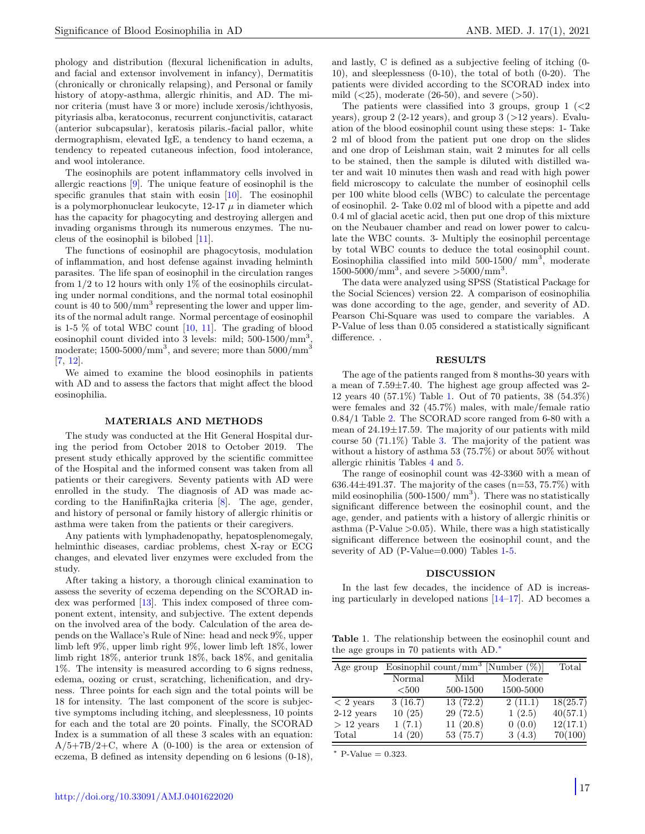phology and distribution (flexural lichenification in adults, and facial and extensor involvement in infancy), Dermatitis (chronically or chronically relapsing), and Personal or family history of atopy-asthma, allergic rhinitis, and AD. The minor criteria (must have 3 or more) include xerosis/ichthyosis, pityriasis alba, keratoconus, recurrent conjunctivitis, cataract (anterior subcapsular), keratosis pilaris.-facial pallor, white dermographism, elevated IgE, a tendency to hand eczema, a tendency to repeated cutaneous infection, food intolerance, and wool intolerance.

The eosinophils are potent inflammatory cells involved in allergic reactions [\[9\]](#page-3-7). The unique feature of eosinophil is the specific granules that stain with eosin [\[10\]](#page-3-8). The eosinophil is a polymorphonuclear leukocyte,  $12-17$   $\mu$  in diameter which has the capacity for phagocyting and destroying allergen and invading organisms through its numerous enzymes. The nucleus of the eosinophil is bilobed [\[11\]](#page-3-9).

The functions of eosinophil are phagocytosis, modulation of inflammation, and host defense against invading helminth parasites. The life span of eosinophil in the circulation ranges from  $1/2$  to 12 hours with only 1% of the eosinophils circulating under normal conditions, and the normal total eosinophil count is 40 to  $500/\text{mm}^3$  representing the lower and upper limits of the normal adult range. Normal percentage of eosinophil is 1-5 % of total WBC count [\[10,](#page-3-8) [11\]](#page-3-9). The grading of blood eosinophil count divided into 3 levels: mild;  $500-1500/mm^3$ , moderate;  $1500-5000/\text{mm}^3$ , and severe; more than  $5000/\text{mm}^3$ [\[7,](#page-3-5) [12\]](#page-3-10).

We aimed to examine the blood eosinophils in patients with AD and to assess the factors that might affect the blood eosinophilia.

#### MATERIALS AND METHODS

The study was conducted at the Hit General Hospital during the period from October 2018 to October 2019. The present study ethically approved by the scientific committee of the Hospital and the informed consent was taken from all patients or their caregivers. Seventy patients with AD were enrolled in the study. The diagnosis of AD was made according to the HanifinRajka criteria [\[8\]](#page-3-6). The age, gender, and history of personal or family history of allergic rhinitis or asthma were taken from the patients or their caregivers.

Any patients with lymphadenopathy, hepatosplenomegaly, helminthic diseases, cardiac problems, chest X-ray or ECG changes, and elevated liver enzymes were excluded from the study.

After taking a history, a thorough clinical examination to assess the severity of eczema depending on the SCORAD index was performed [\[13\]](#page-3-11). This index composed of three component extent, intensity, and subjective. The extent depends on the involved area of the body. Calculation of the area depends on the Wallace's Rule of Nine: head and neck 9%, upper limb left 9%, upper limb right 9%, lower limb left 18%, lower limb right 18%, anterior trunk 18%, back 18%, and genitalia 1%. The intensity is measured according to 6 signs redness, edema, oozing or crust, scratching, lichenification, and dryness. Three points for each sign and the total points will be 18 for intensity. The last component of the score is subjective symptoms including itching, and sleeplessness, 10 points for each and the total are 20 points. Finally, the SCORAD Index is a summation of all these 3 scales with an equation:  $A/5+7B/2+C$ , where A (0-100) is the area or extension of eczema, B defined as intensity depending on 6 lesions (0-18), and lastly, C is defined as a subjective feeling of itching (0- 10), and sleeplessness (0-10), the total of both (0-20). The patients were divided according to the SCORAD index into mild  $(\leq 25)$ , moderate  $(26-50)$ , and severe  $(>50)$ .

The patients were classified into 3 groups, group  $1$   $\langle$   $\langle$  2 years), group  $2$  (2-12 years), and group  $3$  ( $>12$  years). Evaluation of the blood eosinophil count using these steps: 1- Take 2 ml of blood from the patient put one drop on the slides and one drop of Leishman stain, wait 2 minutes for all cells to be stained, then the sample is diluted with distilled water and wait 10 minutes then wash and read with high power field microscopy to calculate the number of eosinophil cells per 100 white blood cells (WBC) to calculate the percentage of eosinophil. 2- Take 0.02 ml of blood with a pipette and add 0.4 ml of glacial acetic acid, then put one drop of this mixture on the Neubauer chamber and read on lower power to calculate the WBC counts. 3- Multiply the eosinophil percentage by total WBC counts to deduce the total eosinophil count. Eosinophilia classified into mild  $500-1500/$  mm<sup>3</sup>, moderate  $1500-5000/\text{mm}^3$ , and severe  $>5000/\text{mm}^3$ .

The data were analyzed using SPSS (Statistical Package for the Social Sciences) version 22. A comparison of eosinophilia was done according to the age, gender, and severity of AD. Pearson Chi-Square was used to compare the variables. A P-Value of less than 0.05 considered a statistically significant difference. .

#### RESULTS

The age of the patients ranged from 8 months-30 years with a mean of 7.59±7.40. The highest age group affected was 2- 12 years 40 (57.1%) Table [1.](#page-1-0) Out of 70 patients, 38 (54.3%) were females and 32 (45.7%) males, with male/female ratio 0.84/1 Table [2.](#page-2-0) The SCORAD score ranged from 6-80 with a mean of 24.19±17.59. The majority of our patients with mild course 50 (71.1%) Table [3.](#page-2-1) The majority of the patient was without a history of asthma 53 (75.7%) or about 50% without allergic rhinitis Tables [4](#page-2-2) and [5.](#page-2-3)

The range of eosinophil count was 42-3360 with a mean of 636.44 $\pm$ 491.37. The majority of the cases (n=53, 75.7%) with mild eosinophilia  $(500-1500/\text{ mm}^3)$ . There was no statistically significant difference between the eosinophil count, and the age, gender, and patients with a history of allergic rhinitis or asthma (P-Value  $>0.05$ ). While, there was a high statistically significant difference between the eosinophil count, and the severity of AD (P-Value=0.000) Tables [1](#page-1-0)[-5.](#page-2-3)

### DISCUSSION

In the last few decades, the incidence of AD is increasing particularly in developed nations [\[14](#page-3-12)[–17\]](#page-3-13). AD becomes a

<span id="page-1-0"></span>Table 1. The relationship between the eosinophil count and the age groups in 70 patients with AD.[∗](#page-0-1)

| Age group    | Eosinophil count/mm <sup>3</sup> [Number $(\%)$ ] |           |           | Total    |
|--------------|---------------------------------------------------|-----------|-----------|----------|
|              | Normal                                            | Mild      | Moderate  |          |
|              | < 500                                             | 500-1500  | 1500-5000 |          |
| $<$ 2 years  | 3(16.7)                                           | 13(72.2)  | 2(11.1)   | 18(25.7) |
| $2-12$ years | 10(25)                                            | 29(72.5)  | 1(2.5)    | 40(57.1) |
| $> 12$ years | 1(7.1)                                            | 11(20.8)  | 0(0.0)    | 12(17.1) |
| Total        | 14(20)                                            | 53 (75.7) | 3(4.3)    | 70(100)  |

 $*$  P-Value = 0.323.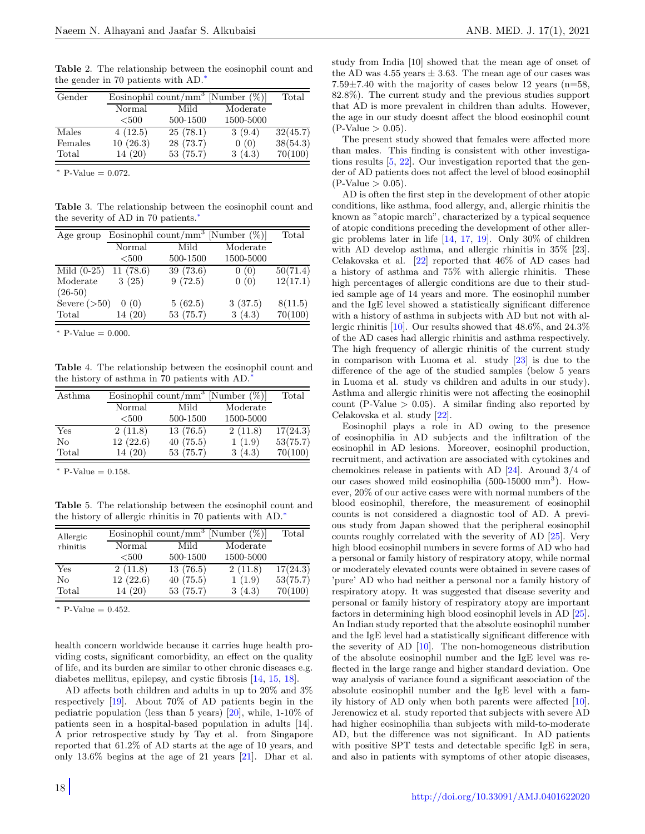<span id="page-2-0"></span>Table 2. The relationship between the eosinophil count and the gender in 70 patients with AD.[∗](#page-0-1)

| Gender  | Eosinophil count/mm <sup>3</sup> [Number $(\%)$ ] |           |           | Total    |
|---------|---------------------------------------------------|-----------|-----------|----------|
|         | Normal                                            | Mild      | Moderate  |          |
|         | $500$                                             | 500-1500  | 1500-5000 |          |
| Males   | 4(12.5)                                           | 25(78.1)  | 3(9.4)    | 32(45.7) |
| Females | 10(26.3)                                          | 28 (73.7) | 0(0)      | 38(54.3) |
| Total   | 14(20)                                            | 53(75.7)  | 3(4.3)    | 70(100)  |

 $*$  P-Value = 0.072.

<span id="page-2-1"></span>Table 3. The relationship between the eosinophil count and the severity of AD in 70 patients.[∗](#page-0-1)

| Age group      | Eosinophil count/mm <sup>3</sup> [Number $(\%)$ ] |           |           | Total                 |
|----------------|---------------------------------------------------|-----------|-----------|-----------------------|
|                | Normal                                            | Mild      | Moderate  |                       |
|                | < 500                                             | 500-1500  | 1500-5000 |                       |
| Mild $(0-25)$  | 11(78.6)                                          | 39(73.6)  | 0(0)      | $\overline{50(71.4)}$ |
| Moderate       | 3(25)                                             | 9(72.5)   | 0(0)      | 12(17.1)              |
| $(26-50)$      |                                                   |           |           |                       |
| Severe $(>50)$ | 0(0)                                              | 5(62.5)   | 3(37.5)   | 8(11.5)               |
| Total          | 14(20)                                            | 53 (75.7) | 3(4.3)    | 70(100)               |
|                |                                                   |           |           |                       |

<sup>∗</sup> P-Value = 0.000.

<span id="page-2-2"></span>Table 4. The relationship between the eosinophil count and the history of asthma in 70 patients with AD.[∗](#page-0-1)

| Asthma | Eosinophil count/mm <sup>3</sup> [Number $(\%)$ ] |          |           | Total    |
|--------|---------------------------------------------------|----------|-----------|----------|
|        | Normal                                            | Mild     | Moderate  |          |
|        | $500$                                             | 500-1500 | 1500-5000 |          |
| Yes    | 2(11.8)                                           | 13(76.5) | 2(11.8)   | 17(24.3) |
| No     | 12(22.6)                                          | 40(75.5) | 1(1.9)    | 53(75.7) |
| Total  | 14(20)                                            | 53(75.7) | 3(4.3)    | 70(100)  |

 $*$  P-Value = 0.158.

<span id="page-2-3"></span>Table 5. The relationship between the eosinophil count and the history of allergic rhinitis in 70 patients with AD.[∗](#page-0-1)

| Allergic | Eosinophil count/mm <sup>3</sup> [Number $(\%)$ ] |          |           | Total    |
|----------|---------------------------------------------------|----------|-----------|----------|
| rhinitis | Normal                                            | Mild     | Moderate  |          |
|          | $500$                                             | 500-1500 | 1500-5000 |          |
| Yes      | 2(11.8)                                           | 13(76.5) | 2(11.8)   | 17(24.3) |
| No       | 12(22.6)                                          | 40(75.5) | 1(1.9)    | 53(75.7) |
| Total    | 14(20)                                            | 53(75.7) | 3(4.3)    | 70(100)  |

 $*$  P-Value = 0.452.

health concern worldwide because it carries huge health providing costs, significant comorbidity, an effect on the quality of life, and its burden are similar to other chronic diseases e.g. diabetes mellitus, epilepsy, and cystic fibrosis [\[14,](#page-3-12) [15,](#page-3-14) [18\]](#page-3-15).

AD affects both children and adults in up to 20% and 3% respectively [\[19\]](#page-3-16). About 70% of AD patients begin in the pediatric population (less than 5 years) [\[20\]](#page-3-17), while, 1-10% of patients seen in a hospital-based population in adults [14]. A prior retrospective study by Tay et al. from Singapore reported that 61.2% of AD starts at the age of 10 years, and only 13.6% begins at the age of 21 years [\[21\]](#page-3-18). Dhar et al. study from India [10] showed that the mean age of onset of the AD was  $4.55$  years  $\pm 3.63$ . The mean age of our cases was  $7.59\pm7.40$  with the majority of cases below 12 years (n=58, 82.8%). The current study and the previous studies support that AD is more prevalent in children than adults. However, the age in our study doesnt affect the blood eosinophil count  $(P-Value > 0.05)$ .

The present study showed that females were affected more than males. This finding is consistent with other investigations results [\[5,](#page-3-3) [22\]](#page-3-19). Our investigation reported that the gender of AD patients does not affect the level of blood eosinophil  $(P-Value > 0.05)$ .

AD is often the first step in the development of other atopic conditions, like asthma, food allergy, and, allergic rhinitis the known as "atopic march", characterized by a typical sequence of atopic conditions preceding the development of other allergic problems later in life [\[14,](#page-3-12) [17,](#page-3-13) [19\]](#page-3-16). Only 30% of children with AD develop asthma, and allergic rhinitis in 35% [23]. Celakovska et al. [\[22\]](#page-3-19) reported that 46% of AD cases had a history of asthma and 75% with allergic rhinitis. These high percentages of allergic conditions are due to their studied sample age of 14 years and more. The eosinophil number and the IgE level showed a statistically significant difference with a history of asthma in subjects with AD but not with allergic rhinitis [\[10\]](#page-3-8). Our results showed that 48.6%, and 24.3% of the AD cases had allergic rhinitis and asthma respectively. The high frequency of allergic rhinitis of the current study in comparison with Luoma et al. study [\[23\]](#page-3-20) is due to the difference of the age of the studied samples (below 5 years in Luoma et al. study vs children and adults in our study). Asthma and allergic rhinitis were not affecting the eosinophil count (P-Value  $> 0.05$ ). A similar finding also reported by Celakovska et al. study [\[22\]](#page-3-19).

Eosinophil plays a role in AD owing to the presence of eosinophilia in AD subjects and the infiltration of the eosinophil in AD lesions. Moreover, eosinophil production, recruitment, and activation are associated with cytokines and chemokines release in patients with AD [\[24\]](#page-3-21). Around 3/4 of our cases showed mild eosinophilia (500-15000 mm<sup>3</sup>). However, 20% of our active cases were with normal numbers of the blood eosinophil, therefore, the measurement of eosinophil counts is not considered a diagnostic tool of AD. A previous study from Japan showed that the peripheral eosinophil counts roughly correlated with the severity of AD [\[25\]](#page-3-22). Very high blood eosinophil numbers in severe forms of AD who had a personal or family history of respiratory atopy, while normal or moderately elevated counts were obtained in severe cases of 'pure' AD who had neither a personal nor a family history of respiratory atopy. It was suggested that disease severity and personal or family history of respiratory atopy are important factors in determining high blood eosinophil levels in AD [\[25\]](#page-3-22). An Indian study reported that the absolute eosinophil number and the IgE level had a statistically significant difference with the severity of AD [\[10\]](#page-3-8). The non-homogeneous distribution of the absolute eosinophil number and the IgE level was reflected in the large range and higher standard deviation. One way analysis of variance found a significant association of the absolute eosinophil number and the IgE level with a family history of AD only when both parents were affected [\[10\]](#page-3-8). Jerenowicz et al. study reported that subjects with severe AD had higher eosinophilia than subjects with mild-to-moderate AD, but the difference was not significant. In AD patients with positive SPT tests and detectable specific IgE in sera, and also in patients with symptoms of other atopic diseases,